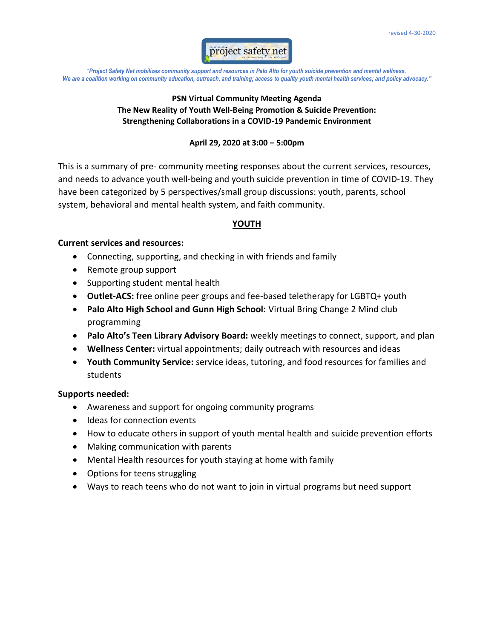

## **PSN Virtual Community Meeting Agenda The New Reality of Youth Well-Being Promotion & Suicide Prevention: Strengthening Collaborations in a COVID-19 Pandemic Environment**

#### **April 29, 2020 at 3:00 – 5:00pm**

This is a summary of pre- community meeting responses about the current services, resources, and needs to advance youth well-being and youth suicide prevention in time of COVID-19. They have been categorized by 5 perspectives/small group discussions: youth, parents, school system, behavioral and mental health system, and faith community.

## **YOUTH**

## **Current services and resources:**

- Connecting, supporting, and checking in with friends and family
- Remote group support
- Supporting student mental health
- **Outlet-ACS:** free online peer groups and fee-based teletherapy for LGBTQ+ youth
- **Palo Alto High School and Gunn High School:** Virtual Bring Change 2 Mind club programming
- **Palo Alto's Teen Library Advisory Board:** weekly meetings to connect, support, and plan
- **Wellness Center:** virtual appointments; daily outreach with resources and ideas
- **Youth Community Service:** service ideas, tutoring, and food resources for families and students

- Awareness and support for ongoing community programs
- Ideas for connection events
- How to educate others in support of youth mental health and suicide prevention efforts
- Making communication with parents
- Mental Health resources for youth staying at home with family
- Options for teens struggling
- Ways to reach teens who do not want to join in virtual programs but need support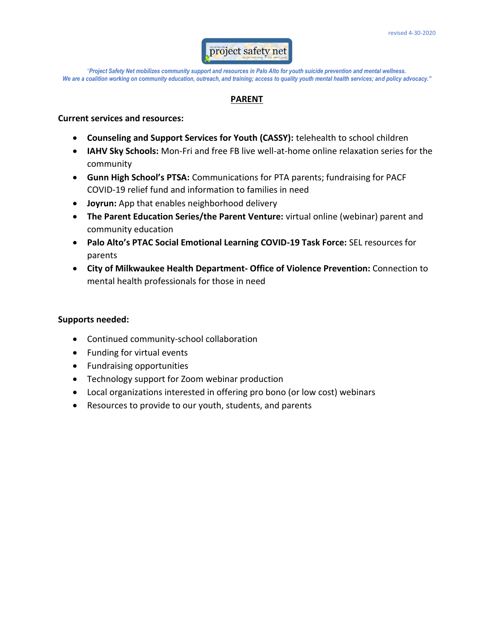

## **PARENT**

#### **Current services and resources:**

- **Counseling and Support Services for Youth (CASSY):** telehealth to school children
- **IAHV Sky Schools:** Mon-Fri and free FB live well-at-home online relaxation series for the community
- **Gunn High School's PTSA:** Communications for PTA parents; fundraising for PACF COVID-19 relief fund and information to families in need
- **Joyrun:** App that enables neighborhood delivery
- **The Parent Education Series/the Parent Venture:** virtual online (webinar) parent and community education
- **Palo Alto's PTAC Social Emotional Learning COVID-19 Task Force:** SEL resources for parents
- **City of Milkwaukee Health Department- Office of Violence Prevention:** Connection to mental health professionals for those in need

- Continued community-school collaboration
- Funding for virtual events
- Fundraising opportunities
- Technology support for Zoom webinar production
- Local organizations interested in offering pro bono (or low cost) webinars
- Resources to provide to our youth, students, and parents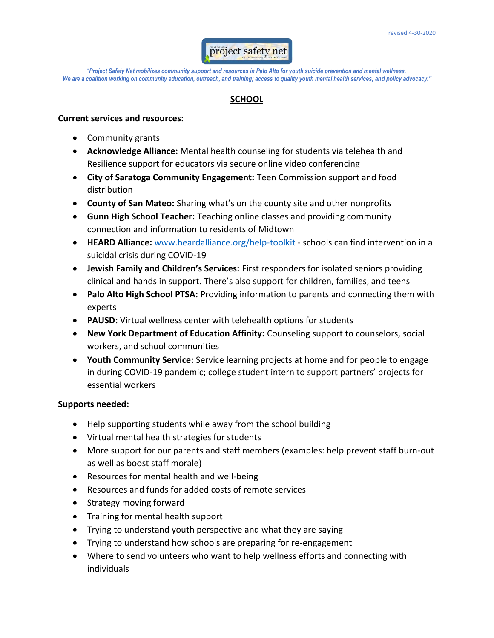

## **SCHOOL**

#### **Current services and resources:**

- Community grants
- **Acknowledge Alliance:** Mental health counseling for students via telehealth and Resilience support for educators via secure online video conferencing
- **City of Saratoga Community Engagement:** Teen Commission support and food distribution
- **County of San Mateo:** Sharing what's on the county site and other nonprofits
- **Gunn High School Teacher:** Teaching online classes and providing community connection and information to residents of Midtown
- **HEARD Alliance:** [www.heardalliance.org/help-toolkit](http://www.heardalliance.org/help-toolkit) schools can find intervention in a suicidal crisis during COVID-19
- **Jewish Family and Children's Services:** First responders for isolated seniors providing clinical and hands in support. There's also support for children, families, and teens
- **Palo Alto High School PTSA:** Providing information to parents and connecting them with experts
- **PAUSD:** Virtual wellness center with telehealth options for students
- **New York Department of Education Affinity:** Counseling support to counselors, social workers, and school communities
- **Youth Community Service:** Service learning projects at home and for people to engage in during COVID-19 pandemic; college student intern to support partners' projects for essential workers

- Help supporting students while away from the school building
- Virtual mental health strategies for students
- More support for our parents and staff members (examples: help prevent staff burn-out as well as boost staff morale)
- Resources for mental health and well-being
- Resources and funds for added costs of remote services
- Strategy moving forward
- Training for mental health support
- Trying to understand youth perspective and what they are saying
- Trying to understand how schools are preparing for re-engagement
- Where to send volunteers who want to help wellness efforts and connecting with individuals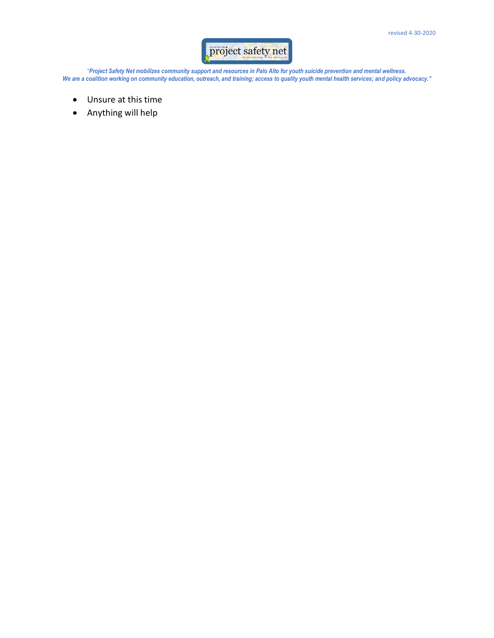# project safety net

"*Project Safety Net mobilizes community support and resources in Palo Alto for youth suicide prevention and mental wellness. We are a coalition working on community education, outreach, and training; access to quality youth mental health services; and policy advocacy."*

- Unsure at this time
- Anything will help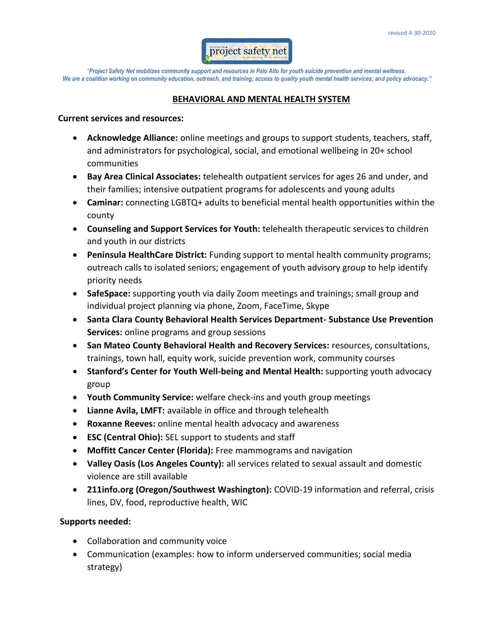

#### **BEHAVIORAL AND MENTAL HEALTH SYSTEM**

#### **Current services and resources:**

- **Acknowledge Alliance:** online meetings and groups to support students, teachers, staff, and administrators for psychological, social, and emotional wellbeing in 20+ school communities
- **Bay Area Clinical Associates:** telehealth outpatient services for ages 26 and under, and their families; intensive outpatient programs for adolescents and young adults
- **Caminar:** connecting LGBTQ+ adults to beneficial mental health opportunities within the county
- **Counseling and Support Services for Youth:** telehealth therapeutic services to children and youth in our districts
- **Peninsula HealthCare District:** Funding support to mental health community programs; outreach calls to isolated seniors; engagement of youth advisory group to help identify priority needs
- **SafeSpace:** supporting youth via daily Zoom meetings and trainings; small group and individual project planning via phone, Zoom, FaceTime, Skype
- **Santa Clara County Behavioral Health Services Department- Substance Use Prevention Services:** online programs and group sessions
- **San Mateo County Behavioral Health and Recovery Services:** resources, consultations, trainings, town hall, equity work, suicide prevention work, community courses
- **Stanford's Center for Youth Well-being and Mental Health:** supporting youth advocacy group
- **Youth Community Service:** welfare check-ins and youth group meetings
- **Lianne Avila, LMFT:** available in office and through telehealth
- **Roxanne Reeves:** online mental health advocacy and awareness
- **ESC (Central Ohio):** SEL support to students and staff
- **Moffitt Cancer Center (Florida):** Free mammograms and navigation
- **Valley Oasis (Los Angeles County):** all services related to sexual assault and domestic violence are still available
- **211info.org (Oregon/Southwest Washington):** COVID-19 information and referral, crisis lines, DV, food, reproductive health, WIC

- Collaboration and community voice
- Communication (examples: how to inform underserved communities; social media strategy)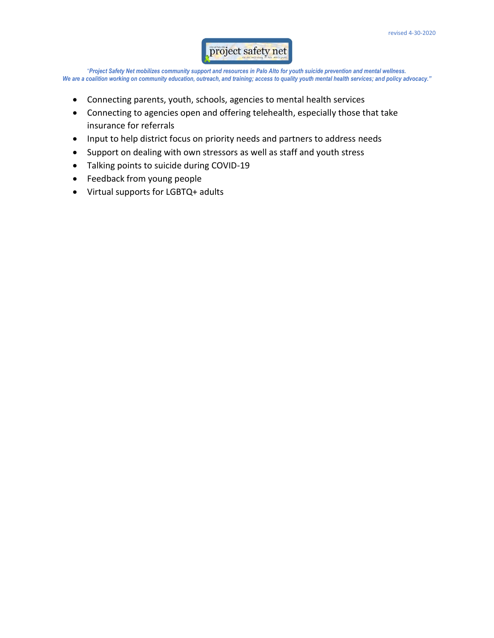## project safety net

"*Project Safety Net mobilizes community support and resources in Palo Alto for youth suicide prevention and mental wellness.*  We are a coalition working on community education, outreach, and training; access to quality youth mental health services; and policy advocacy."

- Connecting parents, youth, schools, agencies to mental health services
- Connecting to agencies open and offering telehealth, especially those that take insurance for referrals
- Input to help district focus on priority needs and partners to address needs
- Support on dealing with own stressors as well as staff and youth stress
- Talking points to suicide during COVID-19
- Feedback from young people
- Virtual supports for LGBTQ+ adults